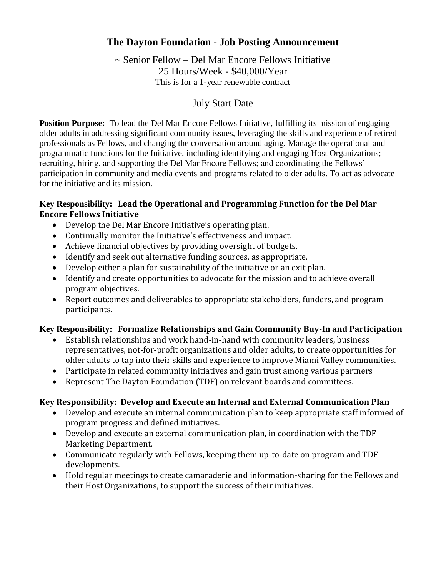# **The Dayton Foundation - Job Posting Announcement**

~ Senior Fellow – Del Mar Encore Fellows Initiative 25 Hours/Week - \$40,000/Year This is for a 1-year renewable contract

## July Start Date

**Position Purpose:** To lead the Del Mar Encore Fellows Initiative, fulfilling its mission of engaging older adults in addressing significant community issues, leveraging the skills and experience of retired professionals as Fellows, and changing the conversation around aging. Manage the operational and programmatic functions for the Initiative, including identifying and engaging Host Organizations; recruiting, hiring, and supporting the Del Mar Encore Fellows; and coordinating the Fellows' participation in community and media events and programs related to older adults. To act as advocate for the initiative and its mission.

## **Key Responsibility: Lead the Operational and Programming Function for the Del Mar Encore Fellows Initiative**

- Develop the Del Mar Encore Initiative's operating plan.
- Continually monitor the Initiative's effectiveness and impact.
- Achieve financial objectives by providing oversight of budgets.
- Identify and seek out alternative funding sources, as appropriate.
- Develop either a plan for sustainability of the initiative or an exit plan.
- Identify and create opportunities to advocate for the mission and to achieve overall program objectives.
- Report outcomes and deliverables to appropriate stakeholders, funders, and program participants.

### **Key Responsibility: Formalize Relationships and Gain Community Buy-In and Participation**

- Establish relationships and work hand-in-hand with community leaders, business representatives, not-for-profit organizations and older adults, to create opportunities for older adults to tap into their skills and experience to improve Miami Valley communities.
- Participate in related community initiatives and gain trust among various partners
- Represent The Dayton Foundation (TDF) on relevant boards and committees.

### **Key Responsibility: Develop and Execute an Internal and External Communication Plan**

- Develop and execute an internal communication plan to keep appropriate staff informed of program progress and defined initiatives.
- Develop and execute an external communication plan, in coordination with the TDF Marketing Department.
- Communicate regularly with Fellows, keeping them up-to-date on program and TDF developments.
- Hold regular meetings to create camaraderie and information-sharing for the Fellows and their Host Organizations, to support the success of their initiatives.